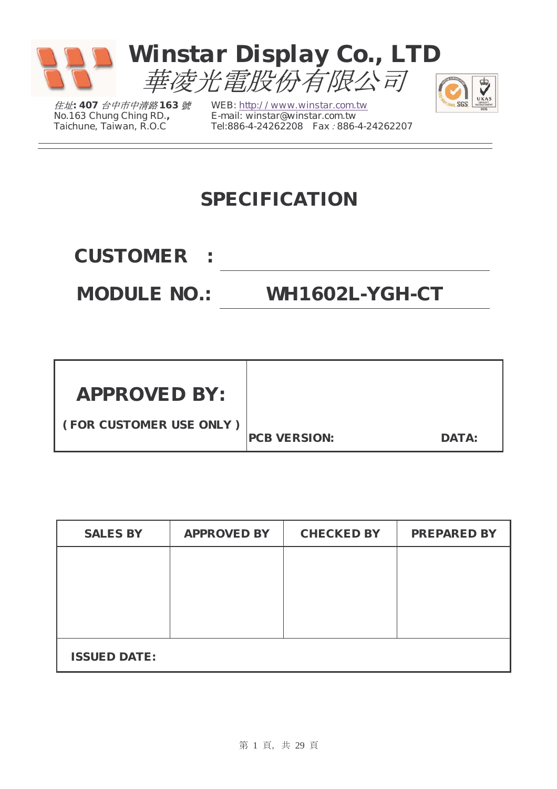

住址*: 407* 台中市中清路 *163* 號 *No.163 Chung Ching RD., Taichune, Taiwan, R.O.C* 

*WEB: http://www.winstar.com.tw E-mail: winstar@winstar.com.tw Tel:886-4-24262208 Fax*:*886-4-24262207*

### **SPECIFICATION**

**CUSTOMER :**

**MODULE NO.: WH1602L-YGH-CT** 

 $\overline{\mathbf{e}}$ UKAS

| <b>APPROVED BY:</b>     |                     |              |
|-------------------------|---------------------|--------------|
|                         |                     |              |
| (FOR CUSTOMER USE ONLY) | <b>PCB VERSION:</b> | <b>DATA:</b> |

| <b>SALES BY</b>     | <b>APPROVED BY</b> | <b>CHECKED BY</b> | <b>PREPARED BY</b> |
|---------------------|--------------------|-------------------|--------------------|
|                     |                    |                   |                    |
|                     |                    |                   |                    |
|                     |                    |                   |                    |
|                     |                    |                   |                    |
| <b>ISSUED DATE:</b> |                    |                   |                    |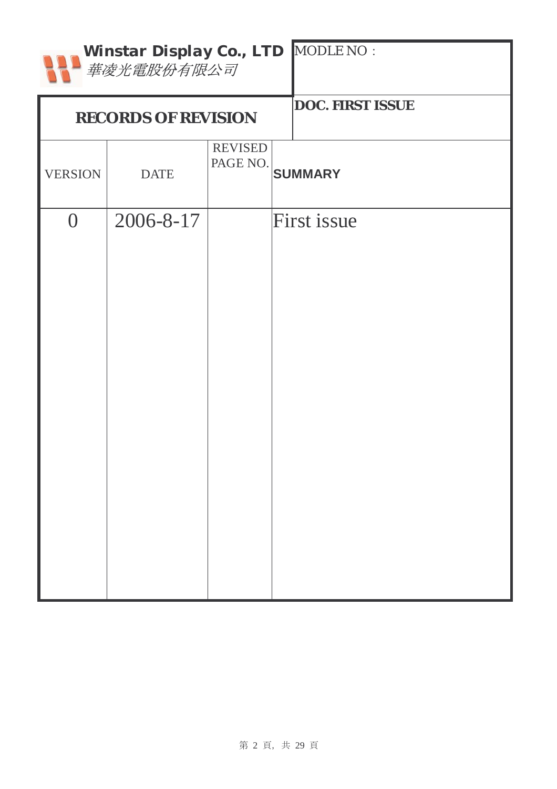|                | Winstar Display Co., LTD MODLE NO :<br>華凌光電股份有限公司 |                            |                         |  |  |  |  |  |  |  |  |  |  |
|----------------|---------------------------------------------------|----------------------------|-------------------------|--|--|--|--|--|--|--|--|--|--|
|                | <b>RECORDS OF REVISION</b>                        |                            | <b>DOC. FIRST ISSUE</b> |  |  |  |  |  |  |  |  |  |  |
| <b>VERSION</b> | <b>DATE</b>                                       | <b>REVISED</b><br>PAGE NO. | <b>SUMMARY</b>          |  |  |  |  |  |  |  |  |  |  |
| $\overline{0}$ | 2006-8-17                                         |                            | <b>First issue</b>      |  |  |  |  |  |  |  |  |  |  |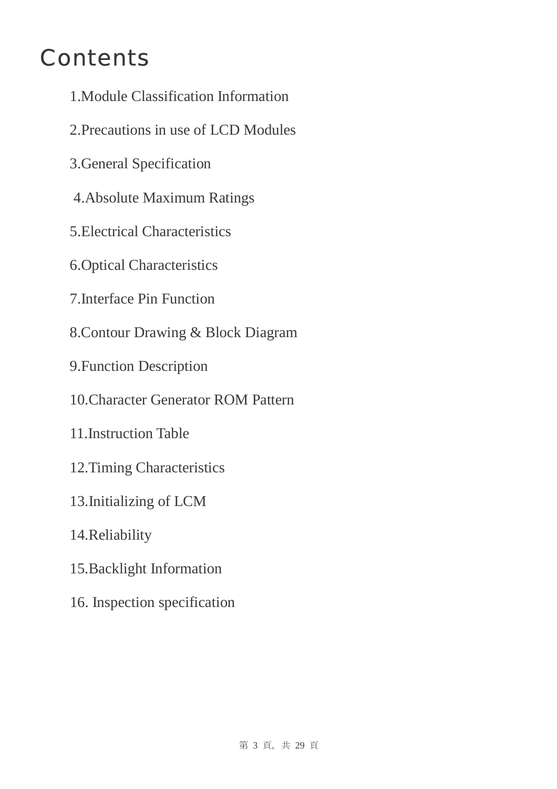# **Contents**

- 1.Module Classification Information
- 2.Precautions in use of LCD Modules
- 3.General Specification
- 4.Absolute Maximum Ratings
- 5.Electrical Characteristics
- 6.Optical Characteristics
- 7.Interface Pin Function
- 8.Contour Drawing & Block Diagram
- 9.Function Description
- 10.Character Generator ROM Pattern
- 11.Instruction Table
- 12.Timing Characteristics
- 13.Initializing of LCM
- 14.Reliability
- 15.Backlight Information
- 16. Inspection specification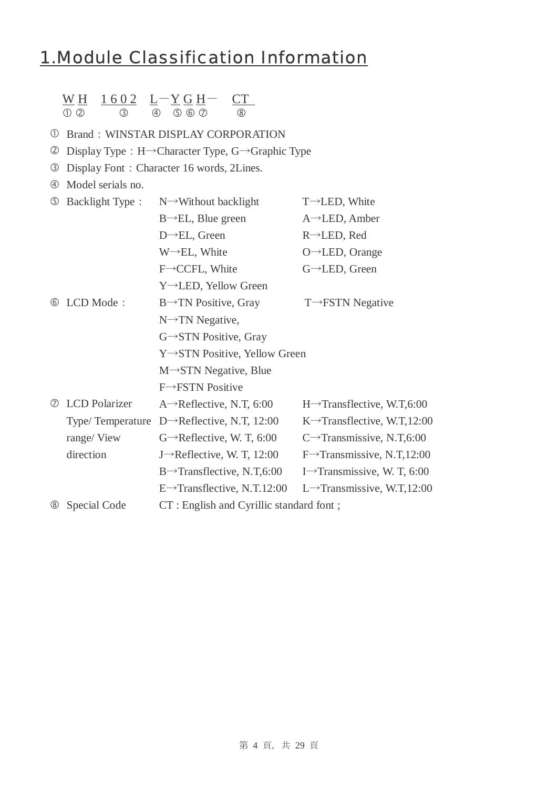### 1.Module Classification Information

### $\underline{W}$  <u>H</u> 1602 L-Y G H- CT

 $(1)$   $(2)$   $(3)$   $(4)$   $(5)$   $(6)$   $(7)$   $(8)$ 

#### *C* Brand: WINSTAR DISPLAY CORPORATION

- d Display Type:H→Character Type, G→Graphic Type
- e Display Font:Character 16 words, 2Lines.
- $\circ$  Model serials no.

| $\circledS$    | <b>Backlight Type:</b> | $N \rightarrow W$ ithout backlight                       | $T \rightarrow$ LED, White               |
|----------------|------------------------|----------------------------------------------------------|------------------------------------------|
|                |                        | $B \rightarrow EL$ , Blue green                          | $A \rightarrow$ LED, Amber               |
|                |                        | $D \rightarrow EL$ , Green                               | $R \rightarrow$ LED, Red                 |
|                |                        | $W \rightarrow EL$ , White                               | $O \rightarrow$ LED, Orange              |
|                |                        | $F \rightarrow CCFL$ , White                             | $G \rightarrow$ LED, Green               |
|                |                        | Y→LED, Yellow Green                                      |                                          |
| (6)            | LCD Mode:              | $B\rightarrow TN$ Positive, Gray                         | $T \rightarrow FSTN$ Negative            |
|                |                        | $N \rightarrow TN$ Negative,                             |                                          |
|                |                        | $G \rightarrow STN$ Positive, Gray                       |                                          |
|                |                        | Y→STN Positive, Yellow Green                             |                                          |
|                |                        | $M \rightarrow STN$ Negative, Blue                       |                                          |
|                |                        | $F \rightarrow FSTN$ Positive                            |                                          |
| $\circled7$    | <b>LCD</b> Polarizer   | A $\rightarrow$ Reflective, N.T, 6:00                    | $H \rightarrow$ Transflective, W.T,6:00  |
|                |                        | Type/ Temperature $D \rightarrow$ Reflective, N.T, 12:00 | K $\rightarrow$ Transflective, W.T,12:00 |
|                | range/View             | $G \rightarrow$ Reflective, W. T, 6:00                   | C $\rightarrow$ Transmissive, N.T,6:00   |
|                | direction              | J $\rightarrow$ Reflective, W. T, 12:00                  | $F \rightarrow$ Transmissive, N.T,12:00  |
|                |                        | $B\rightarrow$ Transflective, N.T,6:00                   | I $\rightarrow$ Transmissive, W. T, 6:00 |
|                |                        | $E \rightarrow$ Transflective, N.T.12:00                 | L $\rightarrow$ Transmissive, W.T,12:00  |
| $^{\circledR}$ | Special Code           | CT: English and Cyrillic standard font;                  |                                          |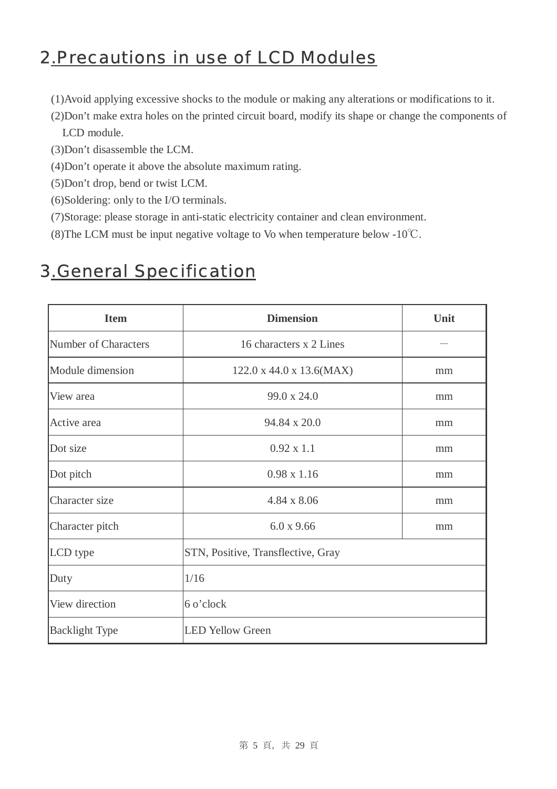### 2.Precautions in use of LCD Modules

- (1)Avoid applying excessive shocks to the module or making any alterations or modifications to it.
- (2)Don't make extra holes on the printed circuit board, modify its shape or change the components of LCD module.
- (3)Don't disassemble the LCM.
- (4)Don't operate it above the absolute maximum rating.
- (5)Don't drop, bend or twist LCM.
- (6)Soldering: only to the I/O terminals.
- (7)Storage: please storage in anti-static electricity container and clean environment.
- (8)The LCM must be input negative voltage to Vo when temperature below -10℃.

### 3.General Specification

| <b>Item</b>           | <b>Dimension</b>                   | Unit |
|-----------------------|------------------------------------|------|
| Number of Characters  | 16 characters x 2 Lines            |      |
| Module dimension      | 122.0 x 44.0 x 13.6(MAX)           | mm   |
| View area             | 99.0 x 24.0                        | mm   |
| Active area           | 94.84 x 20.0                       | mm   |
| Dot size              | $0.92 \times 1.1$                  | mm   |
| Dot pitch             | $0.98 \times 1.16$                 | mm   |
| Character size        | $4.84 \times 8.06$                 | mm   |
| Character pitch       | 6.0 x 9.66                         | mm   |
| LCD type              | STN, Positive, Transflective, Gray |      |
| Duty                  | 1/16                               |      |
| View direction        | 6 o'clock                          |      |
| <b>Backlight Type</b> | <b>LED Yellow Green</b>            |      |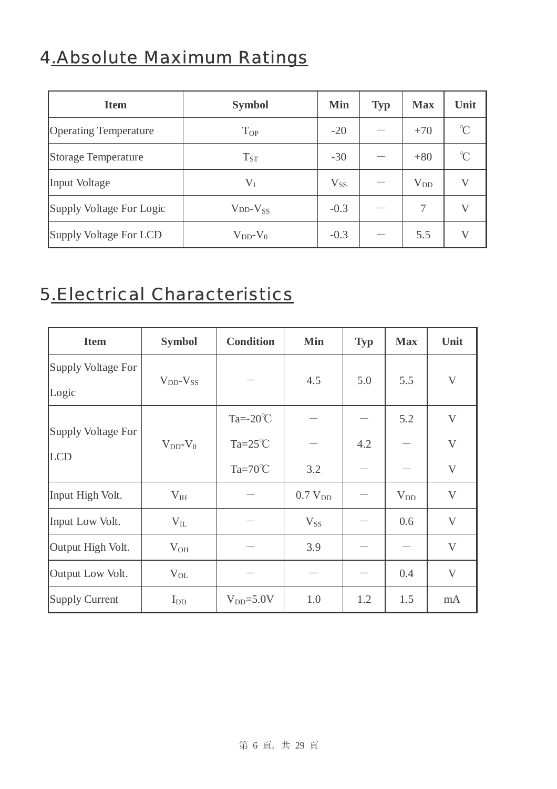# 4.Absolute Maximum Ratings

| <b>Item</b>                  | <b>Symbol</b>          | <b>Min</b> | <b>Typ</b> | <b>Max</b> | Unit                    |
|------------------------------|------------------------|------------|------------|------------|-------------------------|
| <b>Operating Temperature</b> | <b>T</b> <sub>OP</sub> | $-20$      |            | $+70$      | $\mathrm{C}^{\circ}$    |
| Storage Temperature          | $T_{ST}$               | $-30$      |            | $+80$      | $\mathrm{C}^{\circ}$    |
| Input Voltage                | $V_I$                  | $V_{SS}$   |            | $V_{DD}$   | $\mathbf{V}$            |
| Supply Voltage For Logic     | $VDD-VSS$              | $-0.3$     |            | 7          | $\mathbf{V}$            |
| Supply Voltage For LCD       | $V_{DD}$ - $V_0$       | $-0.3$     |            | 5.5        | $\overline{\mathsf{V}}$ |

### 5.Electrical Characteristics

| <b>Item</b>                      | <b>Symbol</b>       | <b>Condition</b>                          | <b>Min</b>          | <b>Typ</b> | <b>Max</b> | Unit                         |
|----------------------------------|---------------------|-------------------------------------------|---------------------|------------|------------|------------------------------|
| Supply Voltage For<br>Logic      | $V_{DD}$ - $V_{SS}$ |                                           | 4.5                 | 5.0        | 5.5        | $\mathbf V$                  |
| Supply Voltage For<br><b>LCD</b> | $V_{DD}$ - $V_0$    | Ta= $-20^{\circ}$ C<br>Ta= $25^{\circ}$ C |                     | 4.2        | 5.2        | $\mathbf{V}$<br>$\mathbf{V}$ |
|                                  |                     | $Ta=70^{\circ}C$                          | 3.2                 |            |            | $\mathbf{V}$                 |
| Input High Volt.                 | $V_{IH}$            |                                           | 0.7 V <sub>DD</sub> |            | $V_{DD}$   | V                            |
| Input Low Volt.                  | $V_{IL}$            |                                           | $V_{SS}$            |            | 0.6        | V                            |
| Output High Volt.                | $V_{OH}$            |                                           | 3.9                 |            |            | V                            |
| Output Low Volt.                 | $V_{OL}$            |                                           |                     |            | 0.4        | $\mathbf{V}$                 |
| <b>Supply Current</b>            | $I_{DD}$            | $V_{DD} = 5.0V$                           | 1.0                 | 1.2        | 1.5        | mA                           |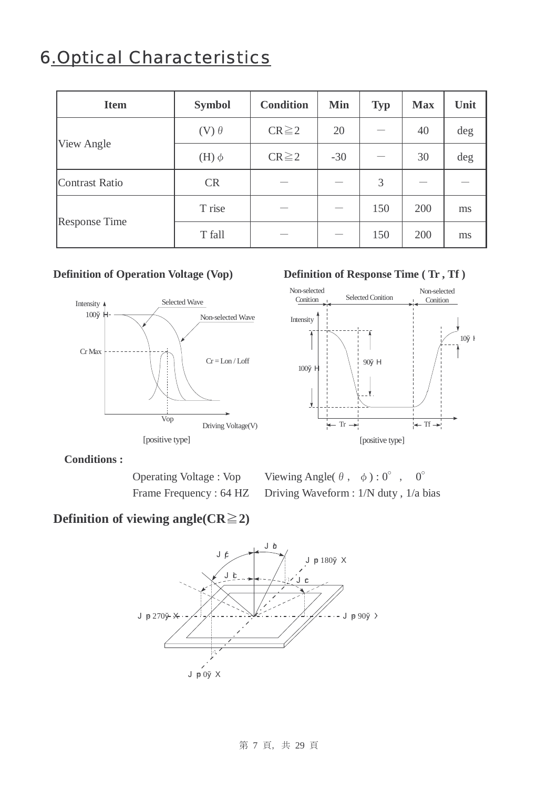### 6.Optical Characteristics

| <b>Item</b>           | <b>Symbol</b>  | <b>Condition</b> | <b>Min</b> | <b>Typ</b> | <b>Max</b> | Unit |
|-----------------------|----------------|------------------|------------|------------|------------|------|
|                       | $(V)$ $\theta$ | $CR \ge 2$       | 20         |            | 40         | deg  |
| View Angle            | $(H)$ $\phi$   | $CR \ge 2$       | $-30$      |            | 30         | deg  |
| <b>Contrast Ratio</b> | <b>CR</b>      |                  |            | 3          |            |      |
|                       | T rise         |                  |            | 150        | 200        | ms   |
| <b>Response Time</b>  | T fall         |                  |            | 150        | 200        | ms   |



#### **Definition of Operation Voltage (Vop)** Definition of Response Time (Tr, Tf)



**Conditions :** 

Operating Voltage : Vop Viewing Angle( $\theta$ ,  $\phi$ ) : 0°, 0° Frame Frequency : 64 HZ Driving Waveform : 1/N duty, 1/a bias

### **Definition of viewing angle(** $CR \ge 2$ **)**

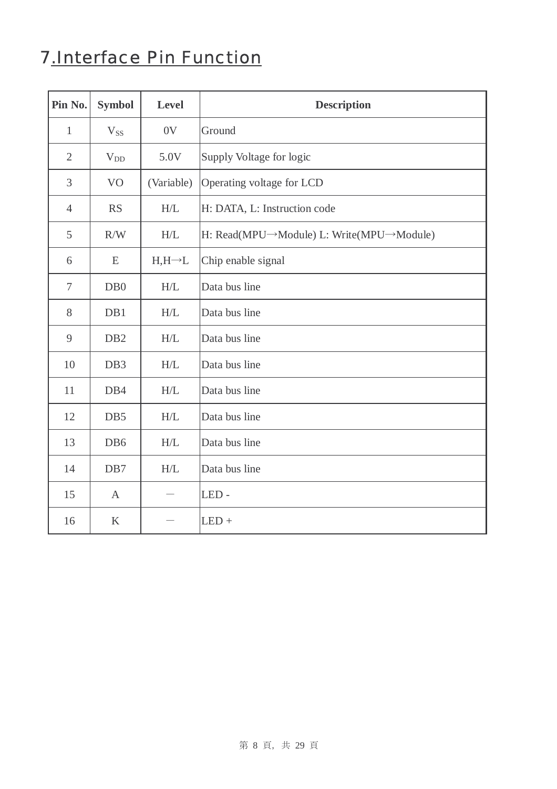### 7.Interface Pin Function

| Pin No.        | <b>Symbol</b>    | <b>Level</b>       | <b>Description</b>                       |
|----------------|------------------|--------------------|------------------------------------------|
| $\mathbf{1}$   | $V_{SS}$         | 0V                 | Ground                                   |
| $\overline{2}$ | $V_{DD}$         | 5.0V               | Supply Voltage for logic                 |
| 3              | V <sub>O</sub>   | (Variable)         | Operating voltage for LCD                |
| $\overline{4}$ | <b>RS</b>        | $\rm H/L$          | H: DATA, L: Instruction code             |
| 5              | R/W              | H/L                | H: Read(MPU→Module) L: Write(MPU→Module) |
| 6              | E                | $H,H\rightarrow L$ | Chip enable signal                       |
| $\tau$         | D <sub>B</sub> 0 | H/L                | Data bus line                            |
| 8              | DB1              | H/L                | Data bus line                            |
| 9              | DB <sub>2</sub>  | H/L                | Data bus line                            |
| 10             | DB <sub>3</sub>  | H/L                | Data bus line                            |
| 11             | DB4              | H/L                | Data bus line                            |
| 12             | DB5              | H/L                | Data bus line                            |
| 13             | DB6              | H/L                | Data bus line                            |
| 14             | DB7              | H/L                | Data bus line                            |
| 15             | $\mathbf{A}$     |                    | LED-                                     |
| 16             | $\bf K$          |                    | $LED +$                                  |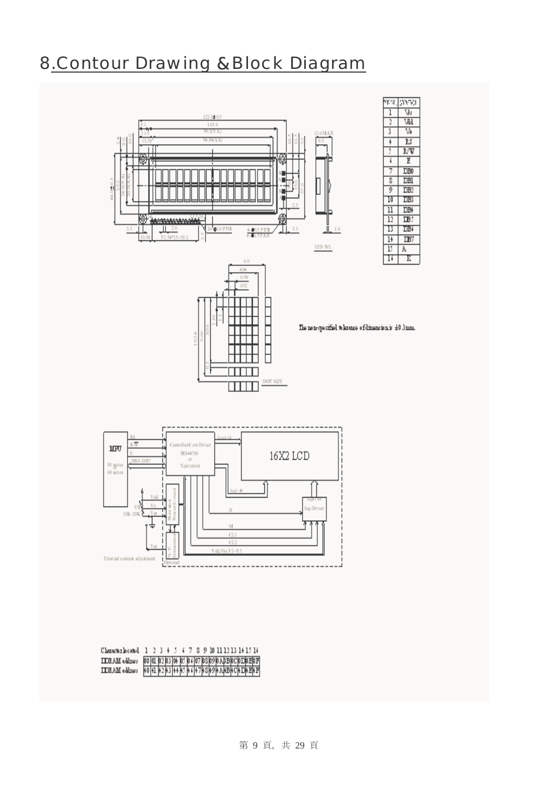### 8.Contour Drawing &Block Diagram







The non-specified to lervice of dimension is  $\pm 0.3\,\mathrm{mm}$ .



| Chambridgetod         | 1 <sup>2</sup> |  |  |  | 478910111213141516 |  |  |  |                                                                                                                        |
|-----------------------|----------------|--|--|--|--------------------|--|--|--|------------------------------------------------------------------------------------------------------------------------|
| <b>IDRAM</b> address  |                |  |  |  |                    |  |  |  |                                                                                                                        |
| <b>IIDRAM</b> address |                |  |  |  |                    |  |  |  | 00  01  02  03  04  03  04  07  08 09 0ADB 0C 0ID 0E 0F<br> 40  41  42  43  44  45  46  47  48 40  48 40  48 40  48 47 |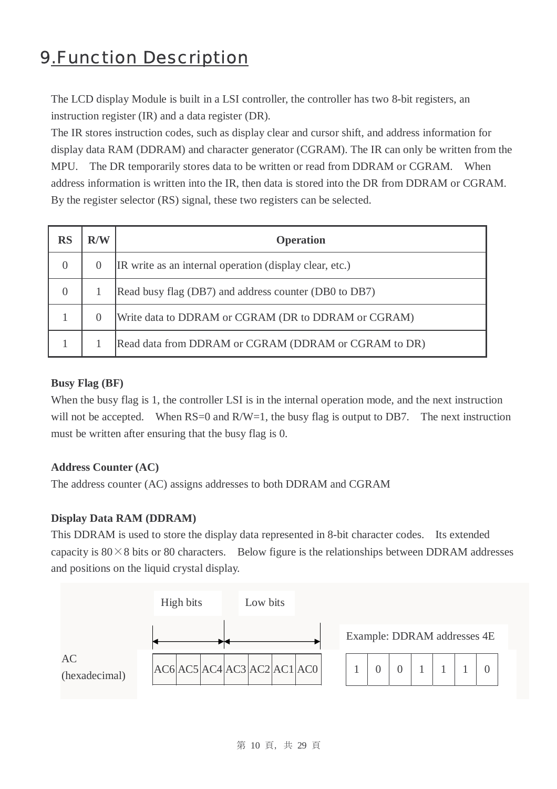### 9.Function Description

 The LCD display Module is built in a LSI controller, the controller has two 8-bit registers, an instruction register (IR) and a data register (DR).

The IR stores instruction codes, such as display clear and cursor shift, and address information for display data RAM (DDRAM) and character generator (CGRAM). The IR can only be written from the MPU. The DR temporarily stores data to be written or read from DDRAM or CGRAM. When address information is written into the IR, then data is stored into the DR from DDRAM or CGRAM. By the register selector (RS) signal, these two registers can be selected.

| RS       | R/W              | <b>Operation</b>                                        |
|----------|------------------|---------------------------------------------------------|
| $\Omega$ | $\theta$         | IR write as an internal operation (display clear, etc.) |
| $\Omega$ |                  | Read busy flag (DB7) and address counter (DB0 to DB7)   |
|          | $\left( \right)$ | Write data to DDRAM or CGRAM (DR to DDRAM or CGRAM)     |
|          |                  | Read data from DDRAM or CGRAM (DDRAM or CGRAM to DR)    |

#### **Busy Flag (BF)**

 When the busy flag is 1, the controller LSI is in the internal operation mode, and the next instruction will not be accepted. When  $RS=0$  and  $R/W=1$ , the busy flag is output to DB7. The next instruction must be written after ensuring that the busy flag is 0.

#### **Address Counter (AC)**

The address counter (AC) assigns addresses to both DDRAM and CGRAM

#### **Display Data RAM (DDRAM)**

This DDRAM is used to store the display data represented in 8-bit character codes. Its extended capacity is  $80 \times 8$  bits or 80 characters. Below figure is the relationships between DDRAM addresses and positions on the liquid crystal display.

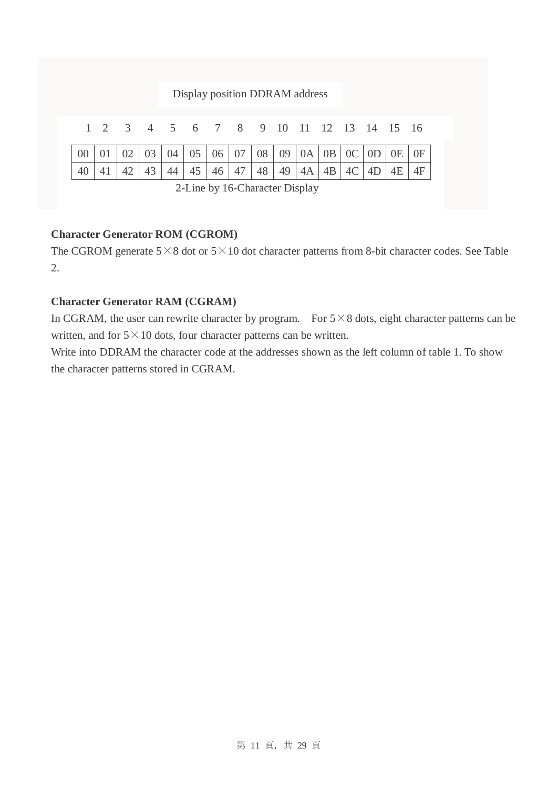#### Display position DDRAM address

|  | 1 2 3 4 5 6 7 8 9 10 11 12 13 14 15 16 |  |  |  |  |  |  |  |  |  |  |  |  |
|--|----------------------------------------|--|--|--|--|--|--|--|--|--|--|--|--|
|  |                                        |  |  |  |  |  |  |  |  |  |  |  |  |
|  |                                        |  |  |  |  |  |  |  |  |  |  |  |  |
|  |                                        |  |  |  |  |  |  |  |  |  |  |  |  |

2-Line by 16-Character Display

#### **Character Generator ROM (CGROM)**

The CGROM generate  $5 \times 8$  dot or  $5 \times 10$  dot character patterns from 8-bit character codes. See Table 2.

#### **Character Generator RAM (CGRAM)**

In CGRAM, the user can rewrite character by program. For  $5 \times 8$  dots, eight character patterns can be written, and for  $5 \times 10$  dots, four character patterns can be written.

Write into DDRAM the character code at the addresses shown as the left column of table 1. To show the character patterns stored in CGRAM.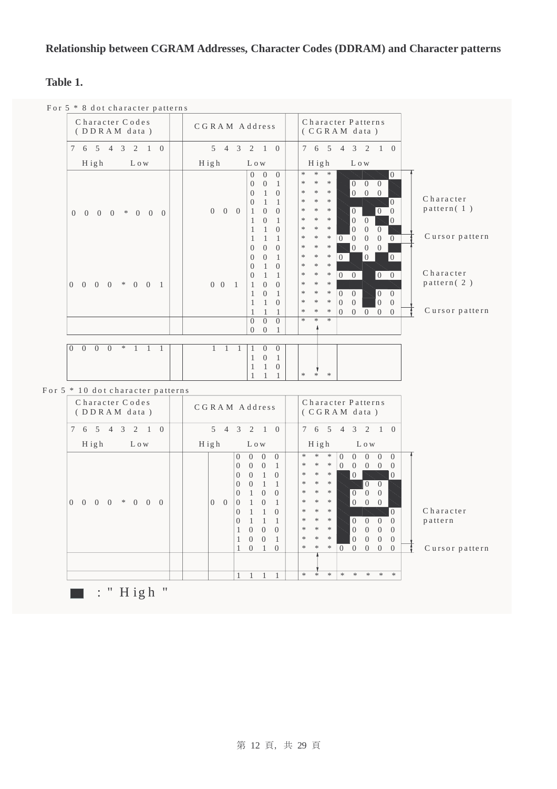#### **Relationship between CGRAM Addresses, Character Codes (DDRAM) and Character patterns**

#### **Table 1.**

For 5 \* 8 dot character patterns



 $\blacksquare$ : " High "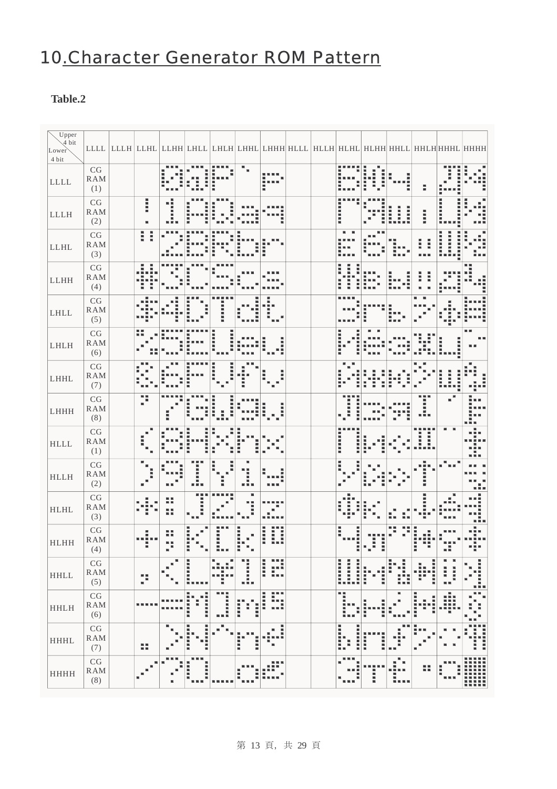### 10.Character Generator ROM Pattern

#### **Table.2**

| $\sqrt{\text{Upper}}$<br>4 bit<br>Lower<br>4 bit |                                              |        |           |                                  |                      |             | LLLL  LLLH  LLHL  LLHH  LHLL  LHLH  LHHL  LHHH  HLLL  HLLH  HLHL  HLHH  HHLL  HHLH  HHHL  HHHH |  |                                                        |                  |                   |              |                   |               |
|--------------------------------------------------|----------------------------------------------|--------|-----------|----------------------------------|----------------------|-------------|------------------------------------------------------------------------------------------------|--|--------------------------------------------------------|------------------|-------------------|--------------|-------------------|---------------|
| $\mathop{\rm LLLL}\nolimits$                     | $\mathbf{C}\mathbf{G}$<br>RAM<br>(1)         |        |           |                                  |                      |             |                                                                                                |  |                                                        |                  |                   | ÷            |                   |               |
| <b>LLLH</b>                                      | CG<br><b>RAM</b><br>(2)                      | l      |           |                                  |                      |             |                                                                                                |  | -------                                                |                  | Ē<br>i            | I            | <b>THEFT</b>      |               |
| <b>LLHL</b>                                      | CG<br><b>RAM</b><br>(3)                      | l<br>I |           |                                  |                      |             |                                                                                                |  |                                                        |                  |                   |              | i<br>Ē            |               |
| <b>LLHH</b>                                      | CG<br>RAM<br>(4)                             |        |           |                                  |                      |             |                                                                                                |  | Ē                                                      |                  |                   |              |                   |               |
| LHLL                                             | CG<br><b>RAM</b><br>(5)                      |        |           |                                  |                      |             |                                                                                                |  |                                                        |                  |                   |              |                   |               |
| LHLH                                             | CG<br>RAM<br>(6)                             | Н      |           |                                  |                      |             |                                                                                                |  | i                                                      |                  |                   |              |                   |               |
| LHHL                                             | CG<br>RAM<br>(7)                             |        |           |                                  |                      |             |                                                                                                |  |                                                        |                  |                   |              |                   |               |
| LHHH                                             | CG<br><b>RAM</b><br>(8)                      | ■■     |           |                                  |                      |             |                                                                                                |  |                                                        |                  |                   |              |                   |               |
| <b>HLLL</b>                                      | CG<br><b>RAM</b><br>(1)                      |        |           |                                  |                      |             |                                                                                                |  | 1. 1. 1. 1. 1. 1. 1.                                   |                  |                   | Ē            | ٠                 |               |
| <b>HLLH</b>                                      | CG<br>RAM<br>(2)                             |        |           | H                                |                      | ×<br>H      |                                                                                                |  | $\mathbf{I}$                                           |                  |                   |              |                   |               |
| <b>HLHL</b>                                      | CG<br>RAM<br>(3)                             |        | ER.       | ш                                |                      |             |                                                                                                |  |                                                        |                  |                   |              |                   |               |
| <b>HLHH</b>                                      | CG<br>RAM<br>(4)                             |        | u u<br>医胃 |                                  |                      | I           |                                                                                                |  | l                                                      |                  |                   |              |                   |               |
| <b>HHLL</b>                                      | $\mathbb{C}\mathbb{G}$<br>${\rm RAM}$<br>(5) | p      |           | <b>CONTRACTOR</b>                | в<br>医原<br>医胃<br>п   | I           | H<br>医皮肤炎<br>800                                                                               |  | <b>MARKET</b><br><b>Bandary</b><br><b>CARD CONTROL</b> | H                | ŀ<br>Ą<br>I,<br>Έ | H.<br>ш<br>H | ٠<br>щ<br>l<br>三国 | 医复数形式<br>■■   |
| <b>HHLH</b>                                      | CG<br><b>RAM</b><br>(6)                      |        |           | ш<br>i<br>-----<br>Η<br>в        | m m m<br>------<br>ш | i<br>H<br>Ē | H<br>----                                                                                      |  | m m                                                    |                  | щ                 | Ξ<br>щ       | ш<br>₩            | m m<br>×<br>H |
| <b>HHHL</b>                                      | $\mathbf{C}\mathbf{G}$<br>RAM<br>(7)         | 韻      | в         | в<br>г<br>E<br>Ē<br>l<br>■■<br>ш | ш                    | Ē<br>Ē      | I<br>i.                                                                                        |  | ------<br>Ξ<br>l                                       | H<br>H<br>ш<br>ш |                   |              |                   | I             |
| <b>HHHH</b>                                      | CG<br>RAM<br>(8)                             |        |           | Ē<br>$\blacksquare$<br>٠         |                      |             |                                                                                                |  |                                                        | l                | щ<br>ш<br>ш       | н            | H                 |               |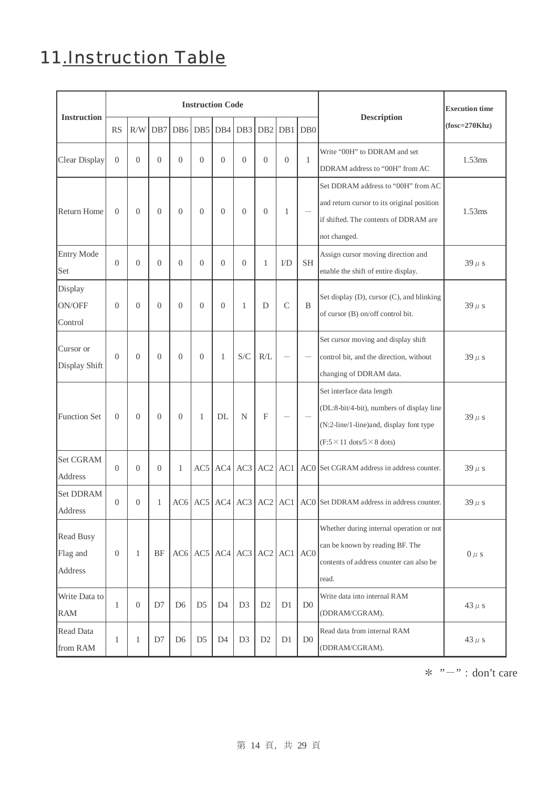## 11.Instruction Table

|                                  | <b>Instruction Code</b> |                |                |                |                |                               |                |                           |                |                  | <b>Execution time</b>                                                                                                                                                       |                 |
|----------------------------------|-------------------------|----------------|----------------|----------------|----------------|-------------------------------|----------------|---------------------------|----------------|------------------|-----------------------------------------------------------------------------------------------------------------------------------------------------------------------------|-----------------|
| <b>Instruction</b>               | <b>RS</b>               | R/W            | DB7            | DB6            | DB5            | DB4                           | DB3            | DB <sub>2</sub>           | DB1            | D <sub>B</sub> 0 | <b>Description</b>                                                                                                                                                          | $(fosc=270Khz)$ |
| Clear Display                    | $\overline{0}$          | $\Omega$       | $\overline{0}$ | $\overline{0}$ | $\overline{0}$ | $\Omega$                      | $\overline{0}$ | $\overline{0}$            | $\overline{0}$ | 1                | Write "00H" to DDRAM and set<br>DDRAM address to "00H" from AC                                                                                                              | 1.53ms          |
| Return Home                      | $\overline{0}$          | $\overline{0}$ | $\theta$       | $\overline{0}$ | $\overline{0}$ | $\overline{0}$                | $\theta$       | $\overline{0}$            | $\mathbf{1}$   |                  | Set DDRAM address to "00H" from AC<br>and return cursor to its original position<br>if shifted. The contents of DDRAM are<br>not changed.                                   | 1.53ms          |
| <b>Entry Mode</b><br>Set         | $\Omega$                | $\theta$       | $\overline{0}$ | $\overline{0}$ | $\overline{0}$ | $\theta$                      | $\overline{0}$ | 1                         | $1/D$          | <b>SH</b>        | Assign cursor moving direction and<br>enable the shift of entire display.                                                                                                   | $39 \mu s$      |
| Display<br>ON/OFF<br>Control     | $\overline{0}$          | $\theta$       | $\overline{0}$ | $\overline{0}$ | $\overline{0}$ | $\theta$                      | $\mathbf{1}$   | D                         | $\mathcal{C}$  | B                | Set display (D), cursor (C), and blinking<br>of cursor (B) on/off control bit.                                                                                              | $39 \mu s$      |
| Cursor or<br>Display Shift       | $\Omega$                | $\Omega$       | $\overline{0}$ | $\overline{0}$ | $\theta$       | 1                             | S/C            | R/L                       |                |                  | Set cursor moving and display shift<br>control bit, and the direction, without<br>changing of DDRAM data.                                                                   | $39 \mu s$      |
| <b>Function Set</b>              | $\overline{0}$          | $\Omega$       | $\theta$       | $\overline{0}$ | $\mathbf{1}$   | DL                            | $\mathbf N$    | $\boldsymbol{\mathrm{F}}$ |                |                  | Set interface data length<br>(DL:8-bit/4-bit), numbers of display line<br>(N:2-line/1-line)and, display font type<br>$(F:5 \times 11 \text{ dots}/5 \times 8 \text{ dots})$ | $39 \mu s$      |
| Set CGRAM<br>Address             | $\Omega$                | $\Omega$       | $\overline{0}$ | 1              | AC5            |                               | $AC4$ $AC3$    | AC <sub>2</sub>           | AC1            |                  | ACO Set CGRAM address in address counter.                                                                                                                                   | $39 \mu s$      |
| <b>Set DDRAM</b><br>Address      | $\overline{0}$          | $\overline{0}$ | $\mathbf{1}$   |                | AC6 AC5        |                               | $AC4$ $AC3$    | AC2                       | AC1            |                  | ACO Set DDRAM address in address counter.                                                                                                                                   | $39 \mu s$      |
| Read Busy<br>Flag and<br>Address | $\theta$                | 1              | <b>BF</b>      |                |                | $AC6$ $AC5$ $AC4$ $AC3$ $AC2$ |                |                           | AC1            | AC <sub>0</sub>  | Whether during internal operation or not<br>can be known by reading BF. The<br>contents of address counter can also be<br>read.                                             | $0 \mu s$       |
| Write Data to<br>RAM             | 1                       | $\mathbf{0}$   | D7             | D <sub>6</sub> | D <sub>5</sub> | D <sub>4</sub>                | D <sub>3</sub> | D2                        | D1             | D <sub>0</sub>   | Write data into internal RAM<br>(DDRAM/CGRAM).                                                                                                                              | 43 $\mu$ s      |
| Read Data<br>from RAM            | 1                       | 1              | D7             | D <sub>6</sub> | D <sub>5</sub> | D4                            | D <sub>3</sub> | D2                        | D1             | D <sub>0</sub>   | Read data from internal RAM<br>(DDRAM/CGRAM).                                                                                                                               | 43 $\mu$ s      |

 $*$  "-": don't care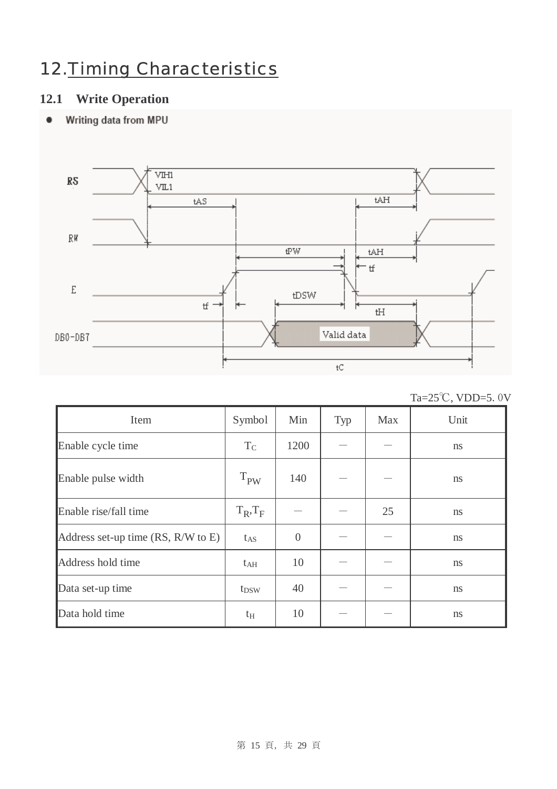### 12.Timing Characteristics

### **12.1 Write Operation**

#### Writing data from MPU  $\bullet$



| Ta= $25^{\circ}$ C, VDD=5.0V |  |
|------------------------------|--|
|                              |  |

| Item                               | Symbol        | Min            | Typ | Max | Unit          |
|------------------------------------|---------------|----------------|-----|-----|---------------|
| Enable cycle time                  | $T_{C}$       | 1200           |     |     | ns            |
| Enable pulse width                 | $T_{PW}$      | 140            |     |     | <sub>ns</sub> |
| Enable rise/fall time              | $T_R$ , $T_F$ |                |     | 25  | ns            |
| Address set-up time (RS, R/W to E) | $t_{AS}$      | $\overline{0}$ |     |     | <sub>ns</sub> |
| Address hold time                  | $t_{\rm AH}$  | 10             |     |     | <sub>ns</sub> |
| Data set-up time                   | $t_{DSW}$     | 40             |     |     | ns            |
| Data hold time                     | $t_{\rm H}$   | 10             |     |     | ns            |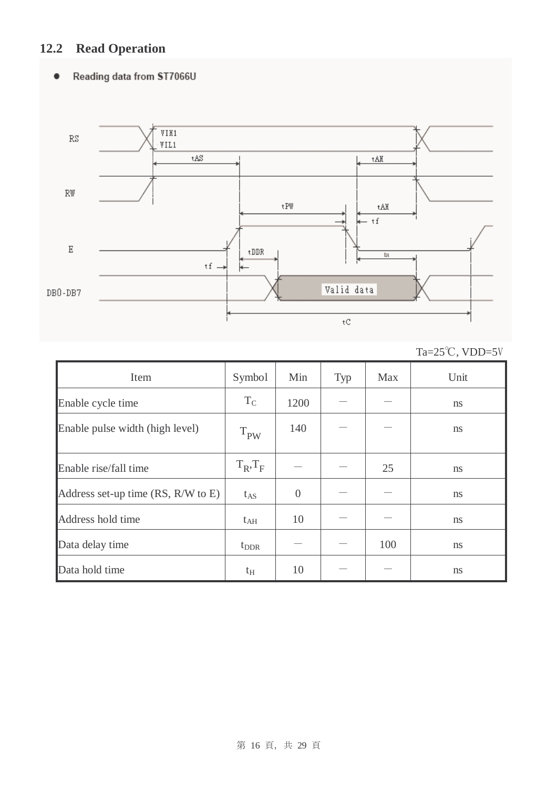### **12.2 Read Operation**

#### Reading data from ST7066U  $\bullet$



|  | Ta= $25^{\circ}$ C, VDD= $5V$ |
|--|-------------------------------|
|--|-------------------------------|

| Item                               | Symbol        | Min            | Typ | Max | Unit          |
|------------------------------------|---------------|----------------|-----|-----|---------------|
| Enable cycle time                  | $T_{\rm C}$   | 1200           |     |     | ns            |
| Enable pulse width (high level)    | $T_{PW}$      | 140            |     |     | ns            |
| Enable rise/fall time              | $T_R$ , $T_F$ |                |     | 25  | ns            |
| Address set-up time (RS, R/W to E) | $t_{AS}$      | $\overline{0}$ |     |     | ns            |
| Address hold time                  | $t_{\rm AH}$  | 10             |     |     | <sub>ns</sub> |
| Data delay time                    | $t_{\rm DDR}$ |                |     | 100 | ns            |
| Data hold time                     | $t_{\rm H}$   | 10             |     |     | ns            |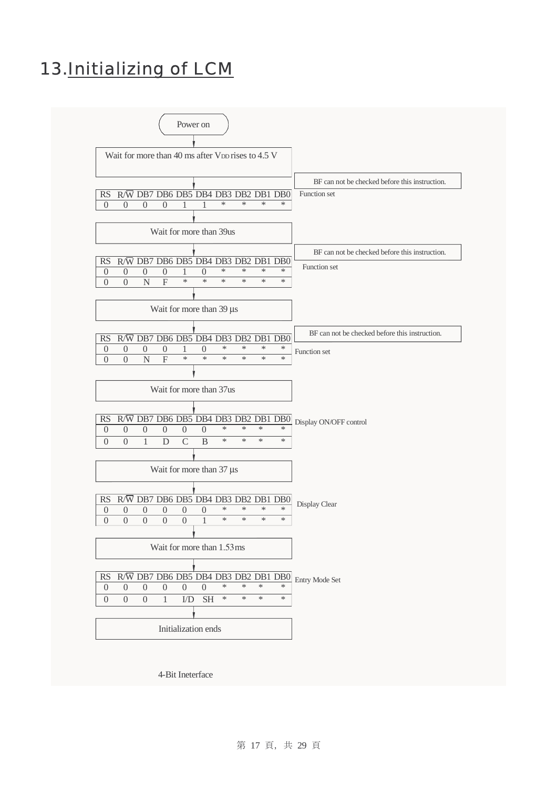### 13.Initializing of LCM



4-Bit Ineterface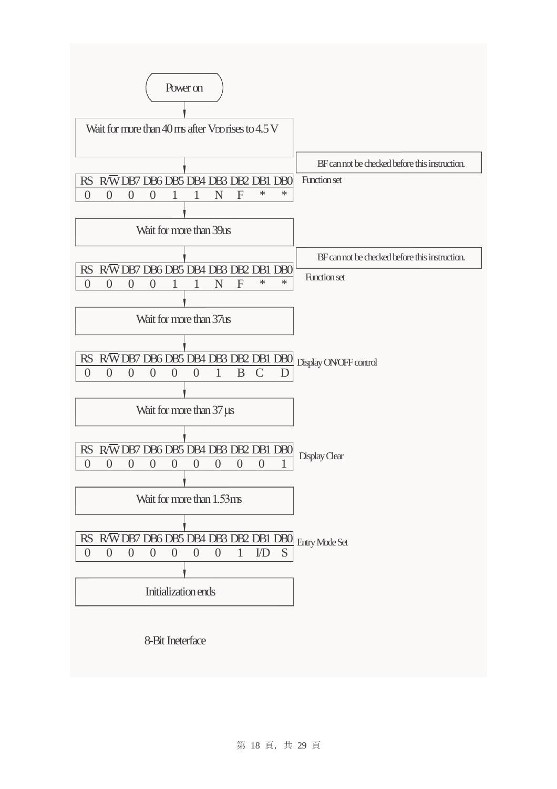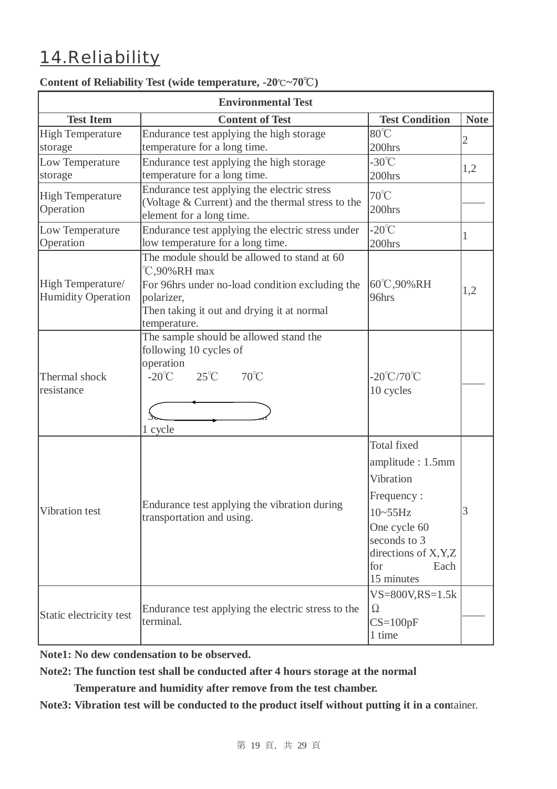### 14.Reliability

|                                                                              | <b>Environmental Test</b>                                                             |                                                                                                                                                                                                                                                                                                                                                                                      |             |
|------------------------------------------------------------------------------|---------------------------------------------------------------------------------------|--------------------------------------------------------------------------------------------------------------------------------------------------------------------------------------------------------------------------------------------------------------------------------------------------------------------------------------------------------------------------------------|-------------|
| <b>Test Item</b>                                                             | <b>Content of Test</b>                                                                | <b>Test Condition</b>                                                                                                                                                                                                                                                                                                                                                                | <b>Note</b> |
| <b>High Temperature</b>                                                      | Endurance test applying the high storage                                              | $80^{\circ}$ C                                                                                                                                                                                                                                                                                                                                                                       |             |
| storage                                                                      | temperature for a long time.                                                          | 200hrs                                                                                                                                                                                                                                                                                                                                                                               |             |
| Low Temperature                                                              | Endurance test applying the high storage                                              | $-30^{\circ}$ C                                                                                                                                                                                                                                                                                                                                                                      |             |
| storage                                                                      | temperature for a long time.                                                          | 200hrs                                                                                                                                                                                                                                                                                                                                                                               |             |
| <b>High Temperature</b>                                                      | Endurance test applying the electric stress                                           |                                                                                                                                                                                                                                                                                                                                                                                      |             |
| Operation                                                                    | (Voltage & Current) and the thermal stress to the                                     | 200hrs                                                                                                                                                                                                                                                                                                                                                                               |             |
|                                                                              | element for a long time.                                                              |                                                                                                                                                                                                                                                                                                                                                                                      |             |
| Low Temperature<br>Operation                                                 | Endurance test applying the electric stress under<br>low temperature for a long time. |                                                                                                                                                                                                                                                                                                                                                                                      | 1           |
|                                                                              | The module should be allowed to stand at 60                                           |                                                                                                                                                                                                                                                                                                                                                                                      |             |
|                                                                              | $\degree$ C,90% RH max                                                                |                                                                                                                                                                                                                                                                                                                                                                                      |             |
| High Temperature/                                                            | For 96hrs under no-load condition excluding the                                       |                                                                                                                                                                                                                                                                                                                                                                                      |             |
| <b>Humidity Operation</b>                                                    | polarizer,                                                                            |                                                                                                                                                                                                                                                                                                                                                                                      |             |
|                                                                              | Then taking it out and drying it at normal                                            |                                                                                                                                                                                                                                                                                                                                                                                      |             |
|                                                                              | temperature.                                                                          |                                                                                                                                                                                                                                                                                                                                                                                      |             |
|                                                                              | The sample should be allowed stand the                                                |                                                                                                                                                                                                                                                                                                                                                                                      |             |
|                                                                              | following 10 cycles of                                                                |                                                                                                                                                                                                                                                                                                                                                                                      |             |
|                                                                              |                                                                                       |                                                                                                                                                                                                                                                                                                                                                                                      |             |
| operation<br>$25^{\circ}C$<br>$-20^{\circ}$ C<br>Thermal shock<br>resistance | $70^{\circ}$ C                                                                        |                                                                                                                                                                                                                                                                                                                                                                                      |             |
|                                                                              |                                                                                       |                                                                                                                                                                                                                                                                                                                                                                                      |             |
|                                                                              |                                                                                       |                                                                                                                                                                                                                                                                                                                                                                                      |             |
|                                                                              | 1 cycle                                                                               |                                                                                                                                                                                                                                                                                                                                                                                      |             |
|                                                                              |                                                                                       |                                                                                                                                                                                                                                                                                                                                                                                      |             |
|                                                                              |                                                                                       |                                                                                                                                                                                                                                                                                                                                                                                      |             |
|                                                                              |                                                                                       |                                                                                                                                                                                                                                                                                                                                                                                      |             |
|                                                                              |                                                                                       |                                                                                                                                                                                                                                                                                                                                                                                      |             |
|                                                                              | Endurance test applying the vibration during                                          | $\mathbf{2}$<br>1,2<br>$70^{\circ}$ C<br>$-20^{\circ}$ C<br>200hrs<br>60°C,90%RH<br>1,2<br>96hrs<br>$-20^{\circ}$ C/70 $^{\circ}$ C<br>10 cycles<br><b>Total fixed</b><br>amplitude: 1.5mm<br>Vibration<br>Frequency:<br>3<br>10~55Hz<br>One cycle 60<br>seconds to 3<br>directions of X, Y, Z<br>for<br>Each<br>15 minutes<br>$VS = 800V$ , $RS = 1.5k$<br>$\Omega$<br>$CS = 100pF$ |             |
| Vibration test                                                               | transportation and using.                                                             |                                                                                                                                                                                                                                                                                                                                                                                      |             |
|                                                                              |                                                                                       |                                                                                                                                                                                                                                                                                                                                                                                      |             |
|                                                                              |                                                                                       |                                                                                                                                                                                                                                                                                                                                                                                      |             |
|                                                                              |                                                                                       |                                                                                                                                                                                                                                                                                                                                                                                      |             |
|                                                                              |                                                                                       |                                                                                                                                                                                                                                                                                                                                                                                      |             |
|                                                                              |                                                                                       |                                                                                                                                                                                                                                                                                                                                                                                      |             |
|                                                                              | Endurance test applying the electric stress to the                                    |                                                                                                                                                                                                                                                                                                                                                                                      |             |
| Static electricity test                                                      | terminal.                                                                             |                                                                                                                                                                                                                                                                                                                                                                                      |             |
|                                                                              |                                                                                       | 1 time                                                                                                                                                                                                                                                                                                                                                                               |             |

#### **Content of Reliability Test (wide temperature, -20**℃**~70**℃**)**

**Note1: No dew condensation to be observed.** 

**Note2: The function test shall be conducted after 4 hours storage at the normal** 

 **Temperature and humidity after remove from the test chamber.** 

**Note3: Vibration test will be conducted to the product itself without putting it in a con**tainer.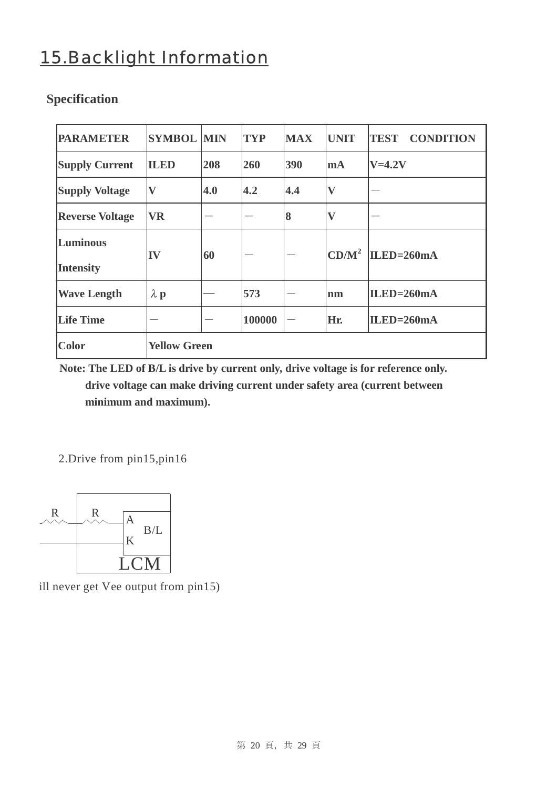### 15.Backlight Information

| <b>PARAMETER</b>             | <b>SYMBOL MIN</b>   |     | <b>TYP</b> | <b>MAX</b> | <b>UNIT</b>               | <b>TEST</b><br><b>CONDITION</b> |
|------------------------------|---------------------|-----|------------|------------|---------------------------|---------------------------------|
| <b>Supply Current</b>        | <b>ILED</b>         | 208 | 260        | 390        | mA                        | $V=4.2V$                        |
| <b>Supply Voltage</b>        | $\mathbf{V}$        | 4.0 | 4.2        | 4.4        | $\boldsymbol{\mathrm{V}}$ |                                 |
| <b>Reverse Voltage</b>       | <b>VR</b>           |     |            | 8          | $\overline{\mathbf{V}}$   |                                 |
| Luminous<br><b>Intensity</b> | IV                  | 60  |            |            | CD/M <sup>2</sup>         | $ILED=260mA$                    |
| <b>Wave Length</b>           | $\lambda$ p         |     | 573        |            | <b>nm</b>                 | $ILED=260mA$                    |
| <b>Life Time</b>             |                     |     | 100000     |            | Hr.                       | $ILED=260mA$                    |
| <b>Color</b>                 | <b>Yellow Green</b> |     |            |            |                           |                                 |

### **Specification**

**Note: The LED of B/L is drive by current only, drive voltage is for reference only.** 

 **drive voltage can make driving current under safety area (current between minimum and maximum).** 

2.Drive from pin15,pin16



ill never get Vee output from pin15)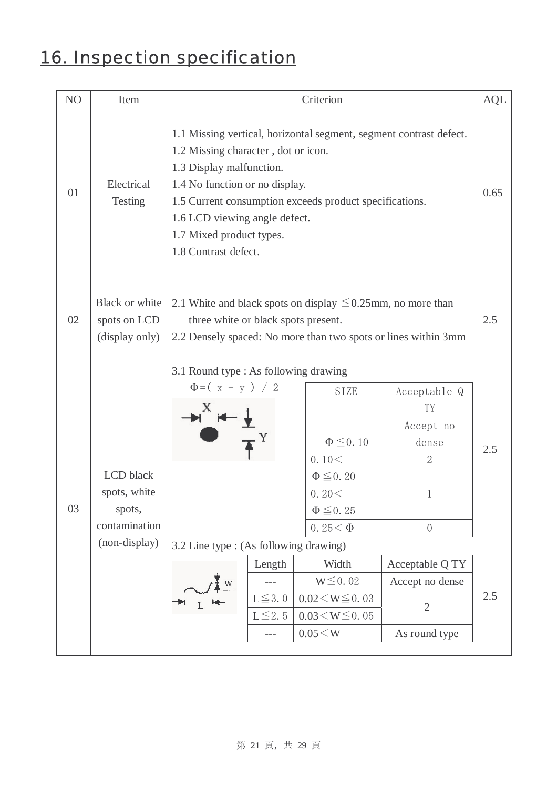# 16. Inspection specification

| NO | Item                                                                  | Criterion                                                                                                                                                                                                                                                                                                                                                          |                                                                                                                                                                  |            |  |  |  |  |
|----|-----------------------------------------------------------------------|--------------------------------------------------------------------------------------------------------------------------------------------------------------------------------------------------------------------------------------------------------------------------------------------------------------------------------------------------------------------|------------------------------------------------------------------------------------------------------------------------------------------------------------------|------------|--|--|--|--|
| 01 | Electrical<br><b>Testing</b>                                          | 1.1 Missing vertical, horizontal segment, segment contrast defect.<br>1.2 Missing character, dot or icon.<br>1.3 Display malfunction.<br>1.4 No function or no display.<br>1.5 Current consumption exceeds product specifications.<br>1.6 LCD viewing angle defect.<br>1.7 Mixed product types.<br>1.8 Contrast defect.                                            |                                                                                                                                                                  |            |  |  |  |  |
| 02 | <b>Black or white</b><br>spots on LCD<br>(display only)               | 2.1 White and black spots on display $\leq 0.25$ mm, no more than<br>three white or black spots present.<br>2.2 Densely spaced: No more than two spots or lines within 3mm                                                                                                                                                                                         |                                                                                                                                                                  |            |  |  |  |  |
| 03 | LCD black<br>spots, white<br>spots,<br>contamination<br>(non-display) | 3.1 Round type : As following drawing<br>$\Phi = (x + y) / 2$<br><b>SIZE</b><br>$\Phi \leq 0.10$<br>0.10<<br>$\Phi \leq 0.20$<br>0.20<<br>$\Phi \leq 0.25$<br>0.25 $<$ $\Phi$<br>3.2 Line type : (As following drawing)<br>Length<br>Width<br>$W \leq 0.02$<br>W<br>$L \leq 3.0$<br>$0.02 \le W \le 0.03$<br>$L \leq 2.5$<br>$0.03 \le W \le 0.05$<br>$0.05\!<\!W$ | Acceptable Q<br>TY<br>Accept no<br>dense<br>$\overline{2}$<br>$\mathbf 1$<br>$\sqrt{a}$<br>Acceptable Q TY<br>Accept no dense<br>$\overline{2}$<br>As round type | 2.5<br>2.5 |  |  |  |  |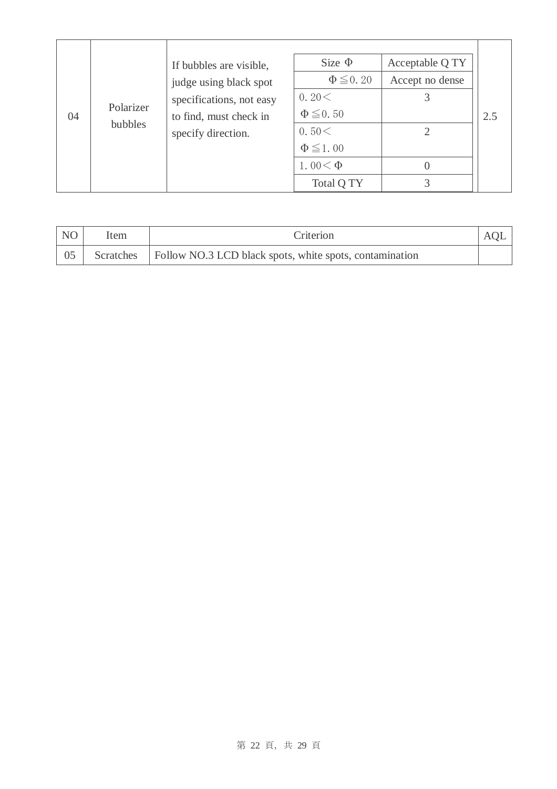| N <sub>O</sub> | ltem | Criterion                                                           |  |
|----------------|------|---------------------------------------------------------------------|--|
|                |      | Scratches   Follow NO.3 LCD black spots, white spots, contamination |  |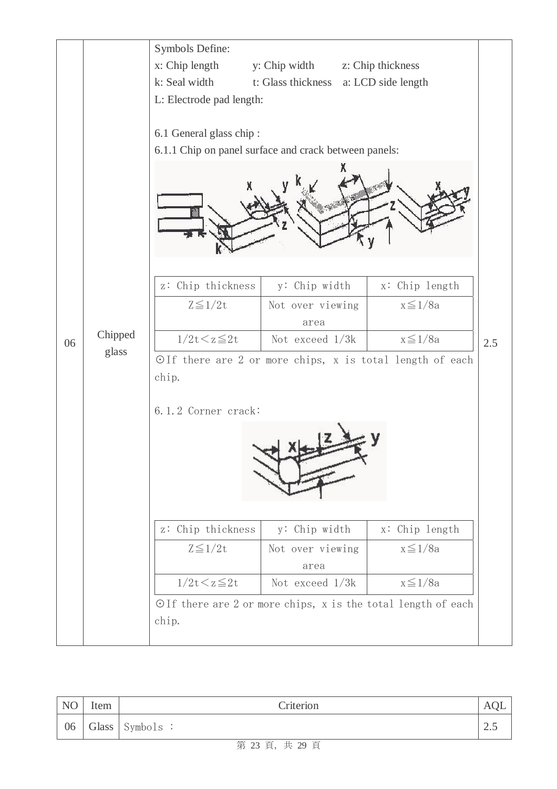

| NO | Item | Criterion      | AUL. |
|----|------|----------------|------|
| 06 |      | Glass Symbols: | ن ک  |

#### 第 23 頁, 共 29 頁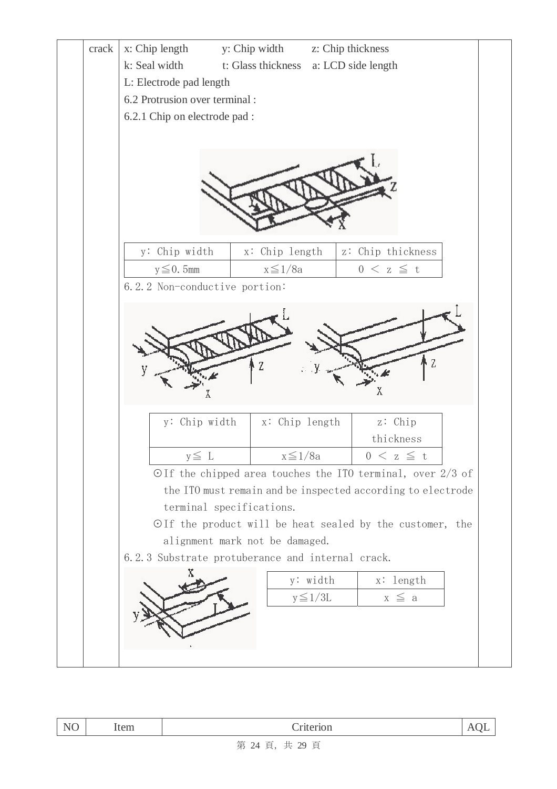

| $-$<br>◡<br>. | -----<br>wiii<br>----- |                                                                                                  |  |
|---------------|------------------------|--------------------------------------------------------------------------------------------------|--|
|               |                        | 六六<br>$\overline{1}$<br>$-$<br>$\sim$ $\lambda$<br>$\mathbf{11} \cdot \mathbf{20}$<br><b>III</b> |  |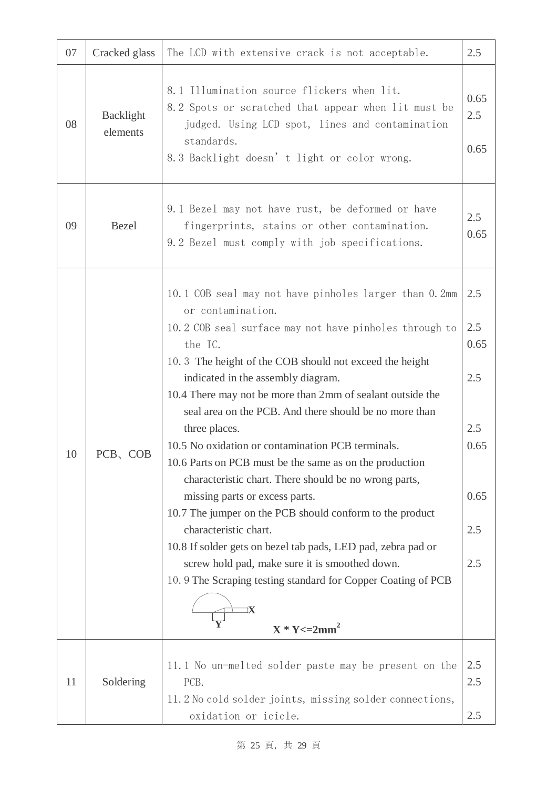| 07 | Cracked glass         | The LCD with extensive crack is not acceptable.                                                                                                                                                                                                                                                                                                                                                                                                                                                                                                                                                                                                                                                                                                                                                                                                                                                         |                                                                |  |
|----|-----------------------|---------------------------------------------------------------------------------------------------------------------------------------------------------------------------------------------------------------------------------------------------------------------------------------------------------------------------------------------------------------------------------------------------------------------------------------------------------------------------------------------------------------------------------------------------------------------------------------------------------------------------------------------------------------------------------------------------------------------------------------------------------------------------------------------------------------------------------------------------------------------------------------------------------|----------------------------------------------------------------|--|
| 08 | Backlight<br>elements | 8.1 Illumination source flickers when lit.<br>8.2 Spots or scratched that appear when lit must be<br>judged. Using LCD spot, lines and contamination<br>standards.<br>8.3 Backlight doesn't light or color wrong.                                                                                                                                                                                                                                                                                                                                                                                                                                                                                                                                                                                                                                                                                       | 0.65<br>2.5<br>0.65                                            |  |
| 09 | <b>Bezel</b>          | 9.1 Bezel may not have rust, be deformed or have<br>fingerprints, stains or other contamination.<br>9.2 Bezel must comply with job specifications.                                                                                                                                                                                                                                                                                                                                                                                                                                                                                                                                                                                                                                                                                                                                                      |                                                                |  |
| 10 | PCB, COB              | 10.1 COB seal may not have pinholes larger than 0.2mm<br>or contamination.<br>10.2 COB seal surface may not have pinholes through to<br>the IC.<br>10.3 The height of the COB should not exceed the height<br>indicated in the assembly diagram.<br>10.4 There may not be more than 2mm of sealant outside the<br>seal area on the PCB. And there should be no more than<br>three places.<br>10.5 No oxidation or contamination PCB terminals.<br>10.6 Parts on PCB must be the same as on the production<br>characteristic chart. There should be no wrong parts,<br>missing parts or excess parts.<br>10.7 The jumper on the PCB should conform to the product<br>characteristic chart.<br>10.8 If solder gets on bezel tab pads, LED pad, zebra pad or<br>screw hold pad, make sure it is smoothed down.<br>10.9 The Scraping testing standard for Copper Coating of PCB<br>IX<br>$X * Y \leq 2mm^2$ | 2.5<br>2.5<br>0.65<br>2.5<br>2.5<br>0.65<br>0.65<br>2.5<br>2.5 |  |
| 11 | Soldering             | 11.1 No un-melted solder paste may be present on the<br>PCB.<br>11.2 No cold solder joints, missing solder connections,<br>oxidation or icicle.                                                                                                                                                                                                                                                                                                                                                                                                                                                                                                                                                                                                                                                                                                                                                         | 2.5<br>2.5<br>2.5                                              |  |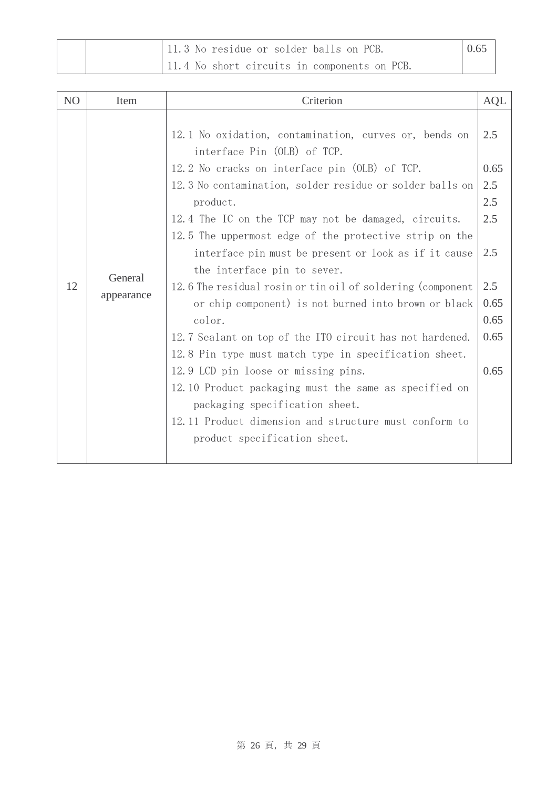|  | 11.3 No residue or solder balls on PCB.      | 0.65 |
|--|----------------------------------------------|------|
|  | 11.4 No short circuits in components on PCB. |      |

| N <sub>O</sub> | Item                  | Criterion                                                                                                                                                                                                                                                                                                                                                                                                              | <b>AQL</b>          |
|----------------|-----------------------|------------------------------------------------------------------------------------------------------------------------------------------------------------------------------------------------------------------------------------------------------------------------------------------------------------------------------------------------------------------------------------------------------------------------|---------------------|
| 12             | General<br>appearance | 12.1 No oxidation, contamination, curves or, bends on<br>interface Pin (OLB) of TCP.<br>12.2 No cracks on interface pin (OLB) of TCP.<br>12.3 No contamination, solder residue or solder balls on<br>product.<br>12.4 The IC on the TCP may not be damaged, circuits.<br>12.5 The uppermost edge of the protective strip on the<br>interface pin must be present or look as if it cause<br>the interface pin to sever. |                     |
|                |                       | 12.6 The residual rosin or tin oil of soldering (component<br>or chip component) is not burned into brown or black                                                                                                                                                                                                                                                                                                     | 2.5<br>0.65<br>0.65 |
|                |                       | color.<br>12.7 Sealant on top of the ITO circuit has not hardened.                                                                                                                                                                                                                                                                                                                                                     | 0.65                |
|                |                       | 12.8 Pin type must match type in specification sheet.                                                                                                                                                                                                                                                                                                                                                                  |                     |
|                |                       | 12.9 LCD pin loose or missing pins.                                                                                                                                                                                                                                                                                                                                                                                    | 0.65                |
|                |                       | 12.10 Product packaging must the same as specified on<br>packaging specification sheet.                                                                                                                                                                                                                                                                                                                                |                     |
|                |                       | 12.11 Product dimension and structure must conform to                                                                                                                                                                                                                                                                                                                                                                  |                     |
|                |                       | product specification sheet.                                                                                                                                                                                                                                                                                                                                                                                           |                     |
|                |                       |                                                                                                                                                                                                                                                                                                                                                                                                                        |                     |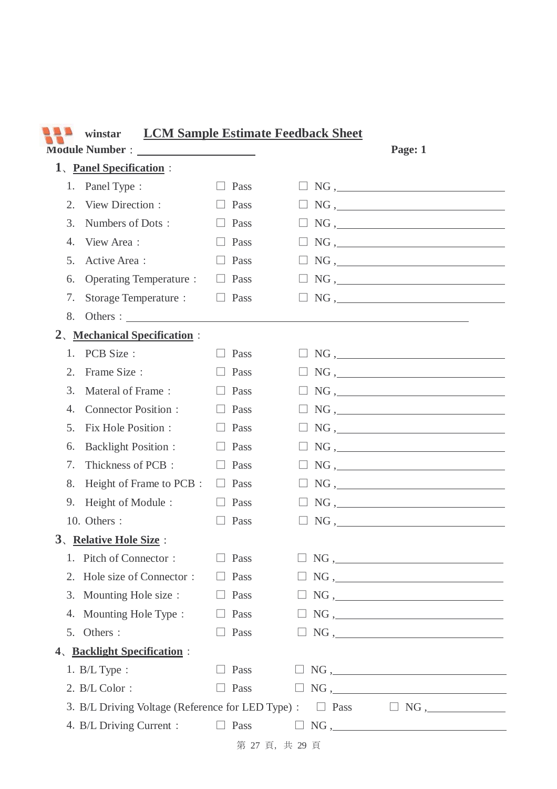| <b>LCM Sample Estimate Feedback Sheet</b><br>winstar                     |                                  |                 |                       |  |                                                                                                                                                                                              |
|--------------------------------------------------------------------------|----------------------------------|-----------------|-----------------------|--|----------------------------------------------------------------------------------------------------------------------------------------------------------------------------------------------|
| Page: 1                                                                  |                                  |                 |                       |  |                                                                                                                                                                                              |
|                                                                          | 1. Panel Specification :         |                 |                       |  |                                                                                                                                                                                              |
| 1.                                                                       | Panel Type:                      | Pass            |                       |  | $NG, \underline{\hspace{2cm}}$                                                                                                                                                               |
| 2.                                                                       | View Direction:                  | Pass            |                       |  | $\Box$ NG, $\Box$                                                                                                                                                                            |
| 3.                                                                       | Numbers of Dots:                 | Pass            |                       |  | $NG, \underline{\hspace{2cm}}$                                                                                                                                                               |
| 4.                                                                       | View Area:                       | Pass            |                       |  | NG,                                                                                                                                                                                          |
| 5.                                                                       | Active Area:                     | Pass            |                       |  | $NG$ , $\qquad \qquad$                                                                                                                                                                       |
| 6.                                                                       | <b>Operating Temperature:</b>    | Pass            |                       |  |                                                                                                                                                                                              |
| 7.                                                                       | Storage Temperature :            | Pass<br>$\perp$ |                       |  | $\boxed{\phantom{100}\phantom{100}}\text{NG },$                                                                                                                                              |
| 8.                                                                       | Others : $\frac{1}{1}$           |                 |                       |  |                                                                                                                                                                                              |
| 2 <sub>1</sub>                                                           | <b>Mechanical Specification:</b> |                 |                       |  |                                                                                                                                                                                              |
| 1.                                                                       | PCB Size:                        | Pass            |                       |  | $NG, \underline{\hspace{2cm}}$                                                                                                                                                               |
| 2.                                                                       | Frame Size:                      | Pass            |                       |  | $\begin{tabular}{ c c c } \hline \quad \quad & NG \, , \quad \quad \quad & \quad \quad & \quad \quad \\ \hline \end{tabular}$                                                                |
| 3.                                                                       | Materal of Frame:                | Pass            |                       |  | $\boxed{\phantom{100}\phantom{100}}\text{NG },\phantom{100}\phantom{100}\text{NG },$                                                                                                         |
| 4.                                                                       | <b>Connector Position:</b>       | Pass            |                       |  | $NG, \underline{\hspace{2cm}}$                                                                                                                                                               |
| 5.                                                                       | Fix Hole Position :              | Pass            |                       |  | $NG, \underline{\hspace{2cm}}$                                                                                                                                                               |
| 6.                                                                       | <b>Backlight Position:</b>       | Pass            |                       |  | $NG, \underline{\hspace{2cm}}$                                                                                                                                                               |
| 7.                                                                       | Thickness of PCB:                | Pass            |                       |  | $NG, \underline{\hspace{2cm}}$                                                                                                                                                               |
| 8.                                                                       | Height of Frame to PCB :         | Pass<br>$\Box$  |                       |  | $NG, \underline{\hspace{2cm}}$                                                                                                                                                               |
| 9.                                                                       | Height of Module:                | Pass            |                       |  | $NG, \underline{\hspace{2cm}}$                                                                                                                                                               |
|                                                                          | 10. Others :                     | Pass            |                       |  |                                                                                                                                                                                              |
|                                                                          | 3. Relative Hole Size:           |                 |                       |  |                                                                                                                                                                                              |
| 1.                                                                       | Pitch of Connector:              | Pass            |                       |  |                                                                                                                                                                                              |
|                                                                          | 2. Hole size of Connector:       | Pass<br>$\Box$  |                       |  |                                                                                                                                                                                              |
| 3.                                                                       | Mounting Hole size :             | $\Box$ Pass     |                       |  | $\begin{tabular}{ c c c c } \hline \quad \quad & NG & \quad \quad & \quad \quad & \quad \quad \\ \hline \quad \quad & NG & \quad \quad & \quad \quad & \quad \quad \\ \hline \end{tabular}.$ |
|                                                                          | 4. Mounting Hole Type :          | $\Box$ Pass     |                       |  |                                                                                                                                                                                              |
|                                                                          | 5. Others :                      | $\Box$ Pass     |                       |  | $\begin{tabular}{ c c c c } \hline \quad \quad & NG & \quad \quad & \quad \quad \\ \hline \end{tabular}$                                                                                     |
| 4. Backlight Specification :                                             |                                  |                 |                       |  |                                                                                                                                                                                              |
|                                                                          | 1. $B/L$ Type :                  | Pass            |                       |  | NG,                                                                                                                                                                                          |
|                                                                          | 2. B/L Color:                    | Pass<br>$\Box$  |                       |  |                                                                                                                                                                                              |
| 3. B/L Driving Voltage (Reference for LED Type) : $\Box$ Pass $\Box$ NG, |                                  |                 |                       |  |                                                                                                                                                                                              |
|                                                                          | 4. B/L Driving Current :         | $\Box$ Pass     |                       |  | $\Box$ NG, $\Box$                                                                                                                                                                            |
|                                                                          |                                  |                 | $27 \pm 4.20 \pm 0.0$ |  |                                                                                                                                                                                              |

#### --**winstar LCM Sample Estimate Feedback Sheet**

第 27 頁, 共 29 頁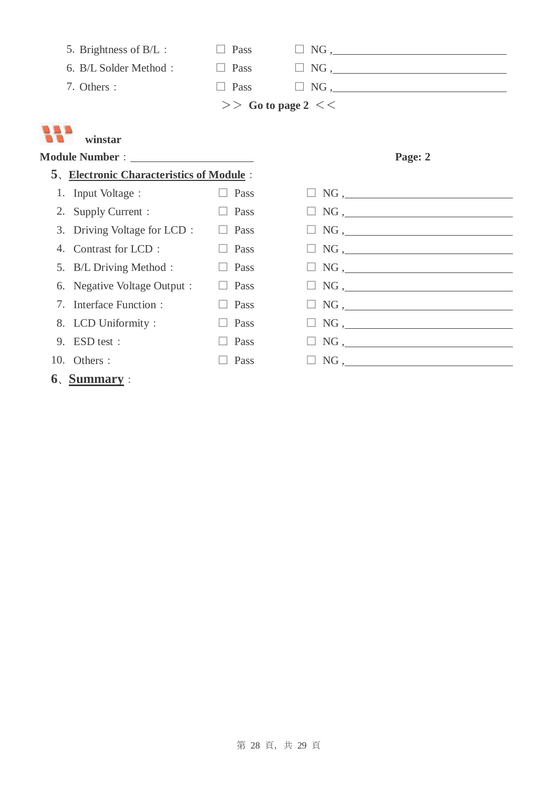|                                  | 5. Brightness of B/L :                          | $\Box$ Pass            | NG,                                                                                                                           |
|----------------------------------|-------------------------------------------------|------------------------|-------------------------------------------------------------------------------------------------------------------------------|
|                                  | 6. B/L Solder Method:                           | $\Box$ Pass            |                                                                                                                               |
|                                  | 7. Others :                                     | $\Box$ Pass            |                                                                                                                               |
|                                  |                                                 | $>>$ Go to page 2 $<<$ |                                                                                                                               |
|                                  | winstar                                         |                        |                                                                                                                               |
|                                  |                                                 |                        | Page: 2                                                                                                                       |
|                                  | <b>5. Electronic Characteristics of Module:</b> |                        |                                                                                                                               |
|                                  | 1. Input Voltage :                              | Pass                   |                                                                                                                               |
|                                  | 2. Supply Current :                             | Pass<br>$\Box$         |                                                                                                                               |
|                                  | 3. Driving Voltage for LCD :                    | Pass                   |                                                                                                                               |
| 4.                               | Contrast for LCD:                               | Pass                   | $\begin{tabular}{ c c c } \hline \quad \quad & NG \, , \quad \quad \quad & \quad \quad & \quad \quad \\ \hline \end{tabular}$ |
|                                  | 5. B/L Driving Method :                         | Pass                   |                                                                                                                               |
| 6.                               | Negative Voltage Output :                       | Pass                   |                                                                                                                               |
| $7_{\scriptscriptstyle{\ddots}}$ | Interface Function:                             | Pass                   |                                                                                                                               |
|                                  | 8. LCD Uniformity:                              | Pass                   | $\Box$ NG, $\Box$                                                                                                             |
|                                  | 9. ESD test:                                    | Pass                   |                                                                                                                               |
|                                  | 10. Others :                                    | Pass                   |                                                                                                                               |
|                                  | $61$ Summary :                                  |                        |                                                                                                                               |